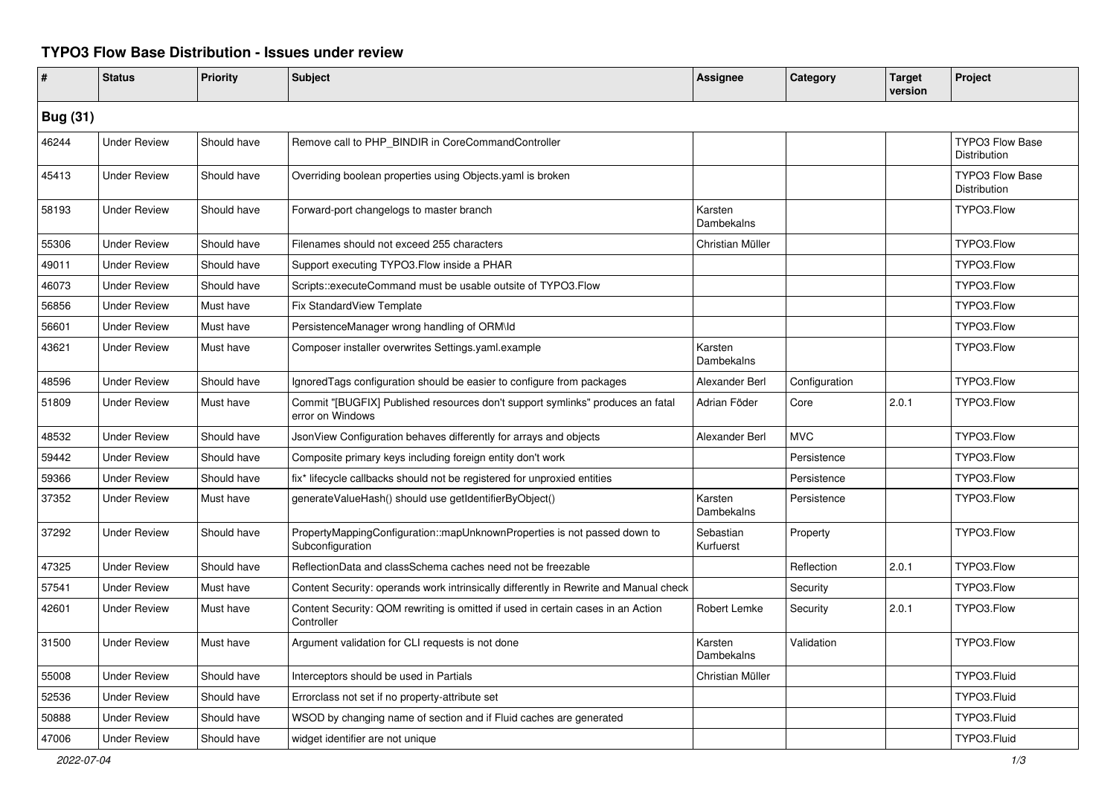## **TYPO3 Flow Base Distribution - Issues under review**

|                 | <b>Status</b>       | <b>Priority</b> | Subject                                                                                            | <b>Assignee</b>        | Category      | <b>Target</b><br>version | Project                                |
|-----------------|---------------------|-----------------|----------------------------------------------------------------------------------------------------|------------------------|---------------|--------------------------|----------------------------------------|
| <b>Bug (31)</b> |                     |                 |                                                                                                    |                        |               |                          |                                        |
| 46244           | <b>Under Review</b> | Should have     | Remove call to PHP BINDIR in CoreCommandController                                                 |                        |               |                          | <b>TYPO3 Flow Base</b><br>Distribution |
| 45413           | <b>Under Review</b> | Should have     | Overriding boolean properties using Objects yaml is broken                                         |                        |               |                          | <b>TYPO3 Flow Base</b><br>Distribution |
| 58193           | <b>Under Review</b> | Should have     | Forward-port changelogs to master branch                                                           | Karsten<br>Dambekalns  |               |                          | TYPO3.Flow                             |
| 55306           | <b>Under Review</b> | Should have     | Filenames should not exceed 255 characters                                                         | Christian Müller       |               |                          | TYPO3.Flow                             |
| 49011           | <b>Under Review</b> | Should have     | Support executing TYPO3.Flow inside a PHAR                                                         |                        |               |                          | TYPO3.Flow                             |
| 46073           | <b>Under Review</b> | Should have     | Scripts::executeCommand must be usable outsite of TYPO3.Flow                                       |                        |               |                          | TYPO3.Flow                             |
| 56856           | <b>Under Review</b> | Must have       | Fix StandardView Template                                                                          |                        |               |                          | TYPO3.Flow                             |
| 56601           | <b>Under Review</b> | Must have       | PersistenceManager wrong handling of ORM\ld                                                        |                        |               |                          | TYPO3.Flow                             |
| 43621           | <b>Under Review</b> | Must have       | Composer installer overwrites Settings.yaml.example                                                | Karsten<br>Dambekalns  |               |                          | TYPO3.Flow                             |
| 48596           | <b>Under Review</b> | Should have     | IgnoredTags configuration should be easier to configure from packages                              | Alexander Berl         | Configuration |                          | TYPO3.Flow                             |
| 51809           | <b>Under Review</b> | Must have       | Commit "[BUGFIX] Published resources don't support symlinks" produces an fatal<br>error on Windows | Adrian Föder           | Core          | 2.0.1                    | TYPO3.Flow                             |
| 48532           | <b>Under Review</b> | Should have     | JsonView Configuration behaves differently for arrays and objects                                  | Alexander Berl         | <b>MVC</b>    |                          | TYPO3.Flow                             |
| 59442           | <b>Under Review</b> | Should have     | Composite primary keys including foreign entity don't work                                         |                        | Persistence   |                          | TYPO3.Flow                             |
| 59366           | <b>Under Review</b> | Should have     | fix* lifecycle callbacks should not be registered for unproxied entities                           |                        | Persistence   |                          | TYPO3.Flow                             |
| 37352           | <b>Under Review</b> | Must have       | generateValueHash() should use getIdentifierByObject()                                             | Karsten<br>Dambekalns  | Persistence   |                          | TYPO3.Flow                             |
| 37292           | <b>Under Review</b> | Should have     | PropertyMappingConfiguration::mapUnknownProperties is not passed down to<br>Subconfiguration       | Sebastian<br>Kurfuerst | Property      |                          | TYPO3.Flow                             |
| 47325           | <b>Under Review</b> | Should have     | ReflectionData and classSchema caches need not be freezable                                        |                        | Reflection    | 2.0.1                    | TYPO3.Flow                             |
| 57541           | <b>Under Review</b> | Must have       | Content Security: operands work intrinsically differently in Rewrite and Manual check              |                        | Security      |                          | TYPO3.Flow                             |
| 42601           | <b>Under Review</b> | Must have       | Content Security: QOM rewriting is omitted if used in certain cases in an Action<br>Controller     | Robert Lemke           | Security      | 2.0.1                    | TYPO3.Flow                             |
| 31500           | <b>Under Review</b> | Must have       | Argument validation for CLI requests is not done                                                   | Karsten<br>Dambekalns  | Validation    |                          | TYPO3.Flow                             |
| 55008           | <b>Under Review</b> | Should have     | Interceptors should be used in Partials                                                            | Christian Müller       |               |                          | TYPO3.Fluid                            |
| 52536           | <b>Under Review</b> | Should have     | Errorclass not set if no property-attribute set                                                    |                        |               |                          | TYPO3.Fluid                            |
| 50888           | <b>Under Review</b> | Should have     | WSOD by changing name of section and if Fluid caches are generated                                 |                        |               |                          | TYPO3.Fluid                            |
| 47006           | <b>Under Review</b> | Should have     | widget identifier are not unique                                                                   |                        |               |                          | TYPO3.Fluid                            |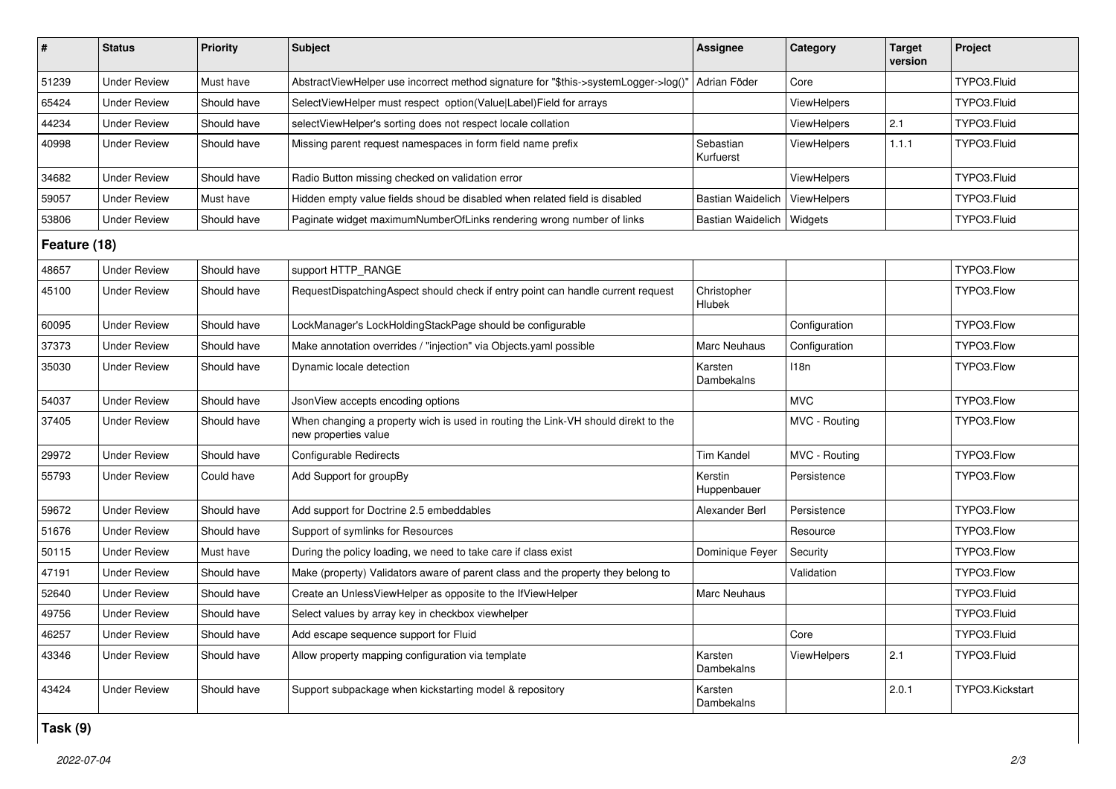| $\sharp$     | <b>Status</b>       | <b>Priority</b> | <b>Subject</b>                                                                                            | <b>Assignee</b>        | Category           | <b>Target</b><br>version | Project         |  |
|--------------|---------------------|-----------------|-----------------------------------------------------------------------------------------------------------|------------------------|--------------------|--------------------------|-----------------|--|
| 51239        | <b>Under Review</b> | Must have       | AbstractViewHelper use incorrect method signature for "\$this->systemLogger->log()"                       | Adrian Föder           | Core               |                          | TYPO3.Fluid     |  |
| 65424        | <b>Under Review</b> | Should have     | SelectViewHelper must respect option(Value Label)Field for arrays                                         |                        | <b>ViewHelpers</b> |                          | TYPO3.Fluid     |  |
| 44234        | <b>Under Review</b> | Should have     | selectViewHelper's sorting does not respect locale collation                                              |                        | ViewHelpers        | 2.1                      | TYPO3.Fluid     |  |
| 40998        | <b>Under Review</b> | Should have     | Missing parent request namespaces in form field name prefix                                               | Sebastian<br>Kurfuerst | <b>ViewHelpers</b> | 1.1.1                    | TYPO3.Fluid     |  |
| 34682        | <b>Under Review</b> | Should have     | Radio Button missing checked on validation error                                                          |                        | ViewHelpers        |                          | TYPO3.Fluid     |  |
| 59057        | <b>Under Review</b> | Must have       | Hidden empty value fields shoud be disabled when related field is disabled                                | Bastian Waidelich      | ViewHelpers        |                          | TYPO3.Fluid     |  |
| 53806        | <b>Under Review</b> | Should have     | Paginate widget maximumNumberOfLinks rendering wrong number of links                                      | Bastian Waidelich      | Widgets            |                          | TYPO3.Fluid     |  |
| Feature (18) |                     |                 |                                                                                                           |                        |                    |                          |                 |  |
| 48657        | <b>Under Review</b> | Should have     | support HTTP_RANGE                                                                                        |                        |                    |                          | TYPO3.Flow      |  |
| 45100        | <b>Under Review</b> | Should have     | RequestDispatchingAspect should check if entry point can handle current request                           | Christopher<br>Hlubek  |                    |                          | TYPO3.Flow      |  |
| 60095        | <b>Under Review</b> | Should have     | LockManager's LockHoldingStackPage should be configurable                                                 |                        | Configuration      |                          | TYPO3.Flow      |  |
| 37373        | <b>Under Review</b> | Should have     | Make annotation overrides / "injection" via Objects.yaml possible                                         | Marc Neuhaus           | Configuration      |                          | TYPO3.Flow      |  |
| 35030        | <b>Under Review</b> | Should have     | Dynamic locale detection                                                                                  | Karsten<br>Dambekalns  | 118n               |                          | TYPO3.Flow      |  |
| 54037        | <b>Under Review</b> | Should have     | JsonView accepts encoding options                                                                         |                        | <b>MVC</b>         |                          | TYPO3.Flow      |  |
| 37405        | <b>Under Review</b> | Should have     | When changing a property wich is used in routing the Link-VH should direkt to the<br>new properties value |                        | MVC - Routing      |                          | TYPO3.Flow      |  |
| 29972        | <b>Under Review</b> | Should have     | Configurable Redirects                                                                                    | <b>Tim Kandel</b>      | MVC - Routing      |                          | TYPO3.Flow      |  |
| 55793        | <b>Under Review</b> | Could have      | Add Support for groupBy                                                                                   | Kerstin<br>Huppenbauer | Persistence        |                          | TYPO3.Flow      |  |
| 59672        | <b>Under Review</b> | Should have     | Add support for Doctrine 2.5 embeddables                                                                  | Alexander Berl         | Persistence        |                          | TYPO3.Flow      |  |
| 51676        | <b>Under Review</b> | Should have     | Support of symlinks for Resources                                                                         |                        | Resource           |                          | TYPO3.Flow      |  |
| 50115        | <b>Under Review</b> | Must have       | During the policy loading, we need to take care if class exist                                            | Dominique Feyer        | Security           |                          | TYPO3.Flow      |  |
| 47191        | <b>Under Review</b> | Should have     | Make (property) Validators aware of parent class and the property they belong to                          |                        | Validation         |                          | TYPO3.Flow      |  |
| 52640        | <b>Under Review</b> | Should have     | Create an UnlessViewHelper as opposite to the IfViewHelper                                                | Marc Neuhaus           |                    |                          | TYPO3.Fluid     |  |
| 49756        | <b>Under Review</b> | Should have     | Select values by array key in checkbox viewhelper                                                         |                        |                    |                          | TYPO3.Fluid     |  |
| 46257        | <b>Under Review</b> | Should have     | Add escape sequence support for Fluid                                                                     |                        | Core               |                          | TYPO3.Fluid     |  |
| 43346        | <b>Under Review</b> | Should have     | Allow property mapping configuration via template                                                         | Karsten<br>Dambekalns  | <b>ViewHelpers</b> | 2.1                      | TYPO3.Fluid     |  |
| 43424        | <b>Under Review</b> | Should have     | Support subpackage when kickstarting model & repository                                                   | Karsten<br>Dambekalns  |                    | 2.0.1                    | TYPO3.Kickstart |  |